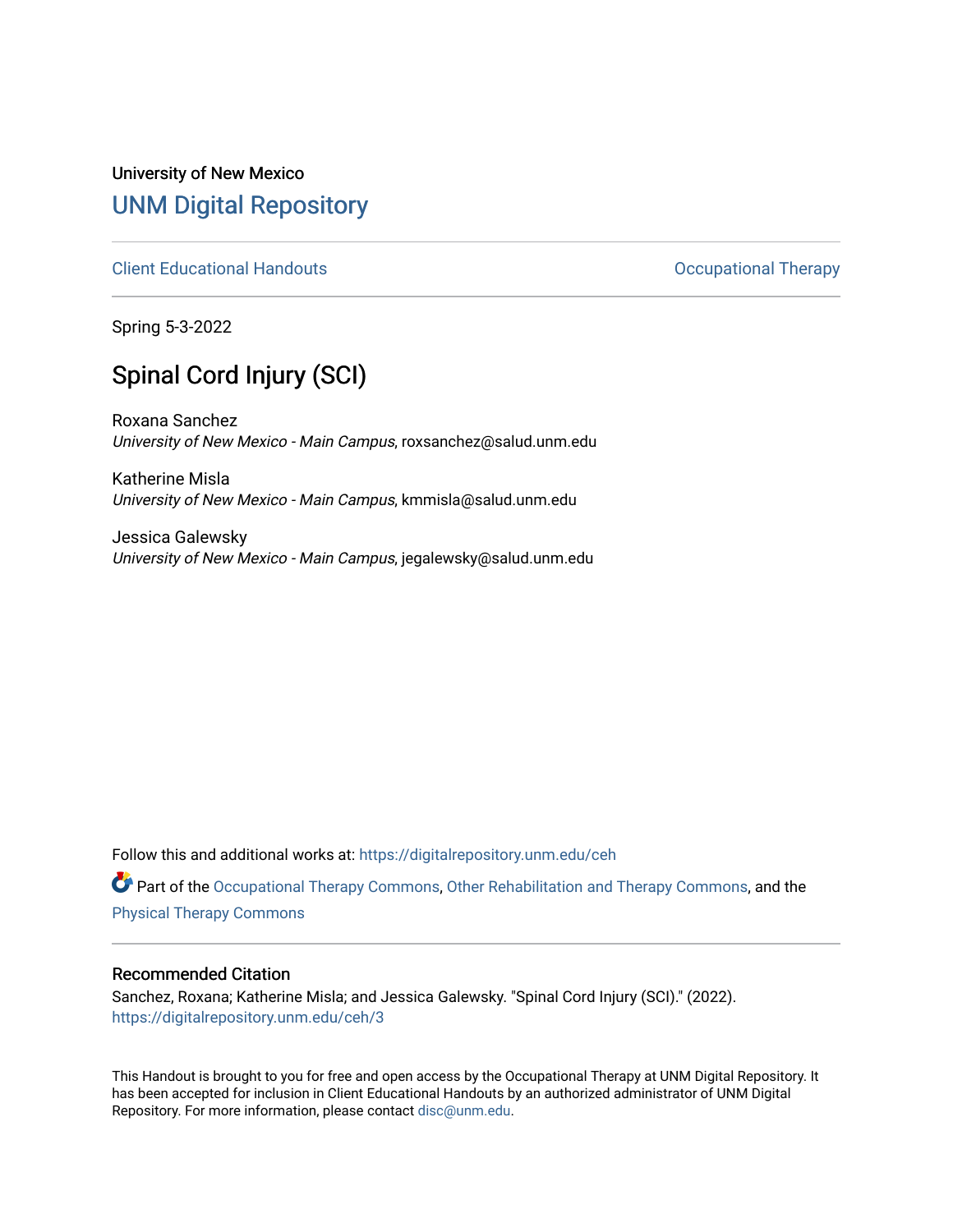## University of New Mexico [UNM Digital Repository](https://digitalrepository.unm.edu/)

[Client Educational Handouts](https://digitalrepository.unm.edu/ceh) **Client Educational Handouts Occupational Therapy** 

Spring 5-3-2022

# Spinal Cord Injury (SCI)

Roxana Sanchez University of New Mexico - Main Campus, roxsanchez@salud.unm.edu

Katherine Misla University of New Mexico - Main Campus, kmmisla@salud.unm.edu

Jessica Galewsky University of New Mexico - Main Campus, jegalewsky@salud.unm.edu

Follow this and additional works at: [https://digitalrepository.unm.edu/ceh](https://digitalrepository.unm.edu/ceh?utm_source=digitalrepository.unm.edu%2Fceh%2F3&utm_medium=PDF&utm_campaign=PDFCoverPages)

Part of the [Occupational Therapy Commons,](http://network.bepress.com/hgg/discipline/752?utm_source=digitalrepository.unm.edu%2Fceh%2F3&utm_medium=PDF&utm_campaign=PDFCoverPages) [Other Rehabilitation and Therapy Commons,](http://network.bepress.com/hgg/discipline/758?utm_source=digitalrepository.unm.edu%2Fceh%2F3&utm_medium=PDF&utm_campaign=PDFCoverPages) and the [Physical Therapy Commons](http://network.bepress.com/hgg/discipline/754?utm_source=digitalrepository.unm.edu%2Fceh%2F3&utm_medium=PDF&utm_campaign=PDFCoverPages) 

#### Recommended Citation

Sanchez, Roxana; Katherine Misla; and Jessica Galewsky. "Spinal Cord Injury (SCI)." (2022). [https://digitalrepository.unm.edu/ceh/3](https://digitalrepository.unm.edu/ceh/3?utm_source=digitalrepository.unm.edu%2Fceh%2F3&utm_medium=PDF&utm_campaign=PDFCoverPages) 

This Handout is brought to you for free and open access by the Occupational Therapy at UNM Digital Repository. It has been accepted for inclusion in Client Educational Handouts by an authorized administrator of UNM Digital Repository. For more information, please contact [disc@unm.edu](mailto:disc@unm.edu).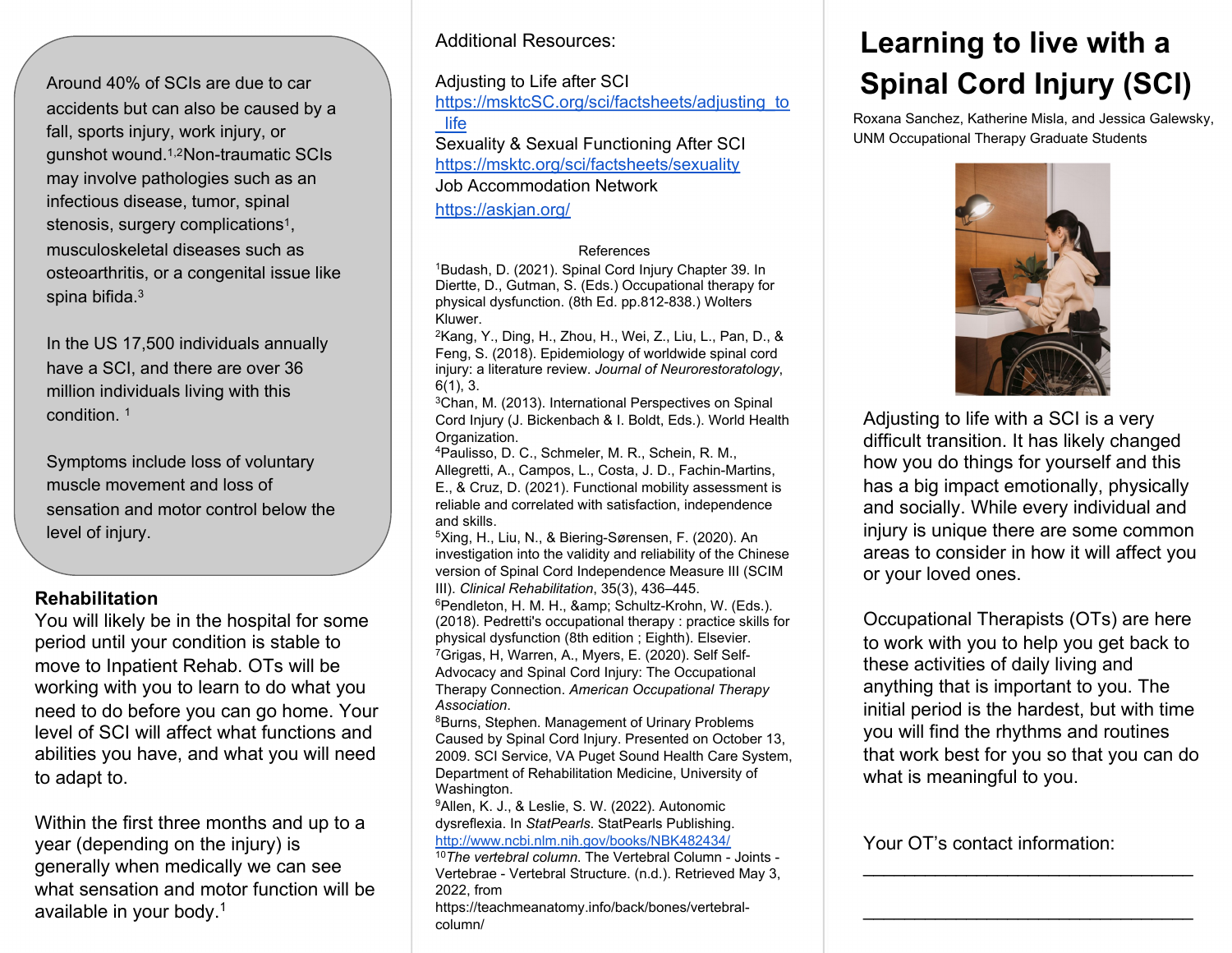Around 40% of SCIs are due to car accidents but can also be caused by a fall, sports injury, work injury, or gunshot wound.1,2Non-traumatic SCIs may involve pathologies such as an infectious disease, tumor, spinal stenosis, surgery complications<sup>1</sup>, musculoskeletal diseases such as osteoarthritis, or a congenital issue like spina bifida.3

In the US 17,500 individuals annually have a SCI, and there are over 36 million individuals living with this condition. 1

Symptoms include loss of voluntary muscle movement and loss of sensation and motor control below the level of injury.

#### **Rehabilitation**

You will likely be in the hospital for some period until your condition is stable to move to Inpatient Rehab. OTs will be working with you to learn to do what you need to do before you can go home. Your level of SCI will affect what functions and abilities you have, and what you will need to adapt to.

Within the first three months and up to a year (depending on the injury) is generally when medically we can see what sensation and motor function will be available in your body.1

#### Additional Resources:

Adjusting to Life after SCI [https://msktcSC.org/sci/factsheets/adjusting\\_to](https://msktcsc.org/sci/factsheets/adjusting_to_life) \_life Sexuality & Sexual Functioning After SCI

<https://msktc.org/sci/factsheets/sexuality> Job Accommodation Network

<https://askjan.org/>

#### References

<sup>1</sup>Budash, D. (2021). Spinal Cord Injury Chapter 39. In Diertte, D., Gutman, S. (Eds.) Occupational therapy for physical dysfunction. (8th Ed. pp.812-838.) Wolters Kluwer.

2Kang, Y., Ding, H., Zhou, H., Wei, Z., Liu, L., Pan, D., & Feng, S. (2018). Epidemiology of worldwide spinal cord injury: a literature review. *Journal of Neurorestoratology*, 6(1), 3.

3Chan, M. (2013). International Perspectives on Spinal Cord Injury (J. Bickenbach & I. Boldt, Eds.). World Health Organization.

4Paulisso, D. C., Schmeler, M. R., Schein, R. M., Allegretti, A., Campos, L., Costa, J. D., Fachin-Martins, E., & Cruz, D. (2021). Functional mobility assessment is reliable and correlated with satisfaction, independence and skills.

5Xing, H., Liu, N., & Biering-Sørensen, F. (2020). An investigation into the validity and reliability of the Chinese version of Spinal Cord Independence Measure III (SCIM III). *Clinical Rehabilitation*, 35(3), 436–445. 6Pendleton, H. M. H., & amp; Schultz-Krohn, W. (Eds.). (2018). Pedretti's occupational therapy : practice skills for physical dysfunction (8th edition ; Eighth). Elsevier. 7Grigas, H, Warren, A., Myers, E. (2020). Self Self-Advocacy and Spinal Cord Injury: The Occupational Therapy Connection. *American Occupational Therapy*  Association.<br><sup>8</sup>Burns, Stephen. Management of Urinary Problems

Caused by Spinal Cord Injury. Presented on October 13, 2009. SCI Service, VA Puget Sound Health Care System, Department of Rehabilitation Medicine, University of Washington.

9Allen, K. J., & Leslie, S. W. (2022). Autonomic dysreflexia. In *StatPearls*. StatPearls Publishing. <http://www.ncbi.nlm.nih.gov/books/NBK482434/>

<sup>10</sup>*The vertebral column*. The Vertebral Column - Joints - Vertebrae - Vertebral Structure. (n.d.). Retrieved May 3, 2022, from

https://teachmeanatomy.info/back/bones/vertebralcolumn/

# **Learning to live with a Spinal Cord Injury (SCI)**

Roxana Sanchez, Katherine Misla, and Jessica Galewsky, UNM Occupational Therapy Graduate Students



Adjusting to life with a SCI is a very difficult transition. It has likely changed how you do things for yourself and this has a big impact emotionally, physically and socially. While every individual and injury is unique there are some common areas to consider in how it will affect you or your loved ones.

Occupational Therapists (OTs) are here to work with you to help you get back to these activities of daily living and anything that is important to you. The initial period is the hardest, but with time you will find the rhythms and routines that work best for you so that you can do what is meaningful to you.

\_\_\_\_\_\_\_\_\_\_\_\_\_\_\_\_\_\_\_\_\_\_\_\_\_\_\_\_\_\_\_\_

\_\_\_\_\_\_\_\_\_\_\_\_\_\_\_\_\_\_\_\_\_\_\_\_\_\_\_\_\_\_\_\_

Your OT's contact information: